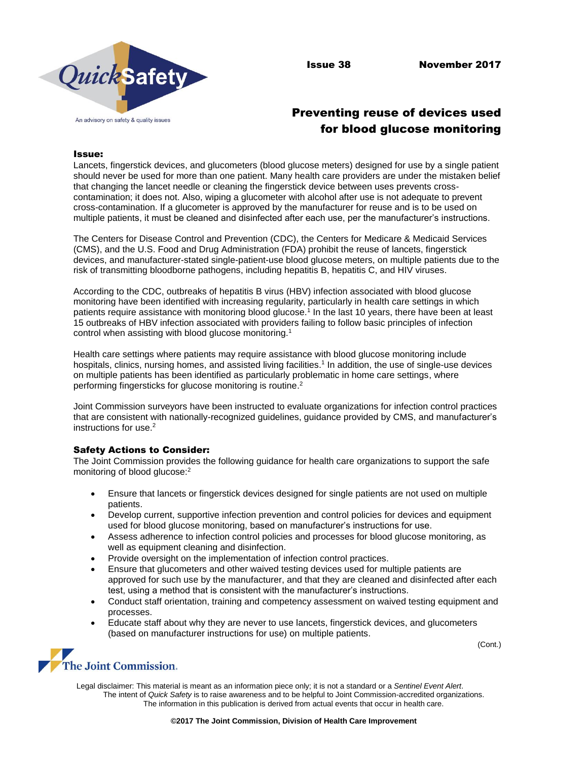

# Preventing reuse of devices used for blood glucose monitoring

## Issue:

Lancets, fingerstick devices, and glucometers (blood glucose meters) designed for use by a single patient should never be used for more than one patient. Many health care providers are under the mistaken belief that changing the lancet needle or cleaning the fingerstick device between uses prevents crosscontamination; it does not. Also, wiping a glucometer with alcohol after use is not adequate to prevent cross-contamination. If a glucometer is approved by the manufacturer for reuse and is to be used on multiple patients, it must be cleaned and disinfected after each use, per the manufacturer's instructions.

The Centers for Disease Control and Prevention (CDC), the Centers for Medicare & Medicaid Services (CMS), and the U.S. Food and Drug Administration (FDA) prohibit the reuse of lancets, fingerstick devices, and manufacturer-stated single-patient-use blood glucose meters, on multiple patients due to the risk of transmitting bloodborne pathogens, including hepatitis B, hepatitis C, and HIV viruses.

According to the CDC, outbreaks of hepatitis B virus (HBV) infection associated with blood glucose monitoring have been identified with increasing regularity, particularly in health care settings in which patients require assistance with monitoring blood glucose.<sup>1</sup> In the last 10 years, there have been at least 15 outbreaks of HBV infection associated with providers failing to follow basic principles of infection control when assisting with blood glucose monitoring.<sup>1</sup>

Health care settings where patients may require assistance with blood glucose monitoring include hospitals, clinics, nursing homes, and assisted living facilities. 1 In addition, the use of single-use devices on multiple patients has been identified as particularly problematic in home care settings, where performing fingersticks for glucose monitoring is routine.<sup>2</sup>

Joint Commission surveyors have been instructed to evaluate organizations for infection control practices that are consistent with nationally-recognized guidelines, guidance provided by CMS, and manufacturer's instructions for use.<sup>2</sup>

## Safety Actions to Consider:

The Joint Commission provides the following guidance for health care organizations to support the safe monitoring of blood glucose:<sup>2</sup>

- Ensure that lancets or fingerstick devices designed for single patients are not used on multiple patients.
- Develop current, supportive infection prevention and control policies for devices and equipment used for blood glucose monitoring, based on manufacturer's instructions for use.
- Assess adherence to infection control policies and processes for blood glucose monitoring, as well as equipment cleaning and disinfection.
- Provide oversight on the implementation of infection control practices.
- Ensure that glucometers and other waived testing devices used for multiple patients are approved for such use by the manufacturer, and that they are cleaned and disinfected after each test, using a method that is consistent with the manufacturer's instructions.
- Conduct staff orientation, training and competency assessment on waived testing equipment and processes.
- Educate staff about why they are never to use lancets, fingerstick devices, and glucometers (based on manufacturer instructions for use) on multiple patients.

(Cont.)



Legal disclaimer: This material is meant as an information piece only; it is not a standard or a *Sentinel Event Alert*. The intent of *Quick Safety* is to raise awareness and to be helpful to Joint Commission-accredited organizations. The information in this publication is derived from actual events that occur in health care.